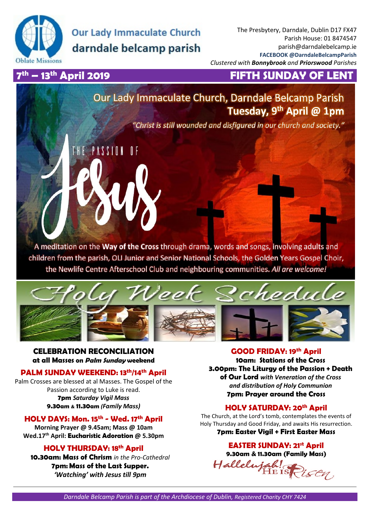

# **Our Lady Immaculate Church** darndale belcamp parish

PASSION

The Presbytery, Darndale, Dublin D17 FX47 Parish House: 01 8474547 parish@darndalebelcamp.ie **FACEBOOK @DarndaleBelcampParish**  *Clustered with Bonnybrook and Priorswood Parishes* 

## 7<sup>th</sup> – 13<sup>th</sup> April 2019

## **FIFTH SUNDAY OF LENT**

## Our Lady Immaculate Church, Darndale Belcamp Parish **Tuesday, 9th April @ 1pm**

*"Christ is still wounded and disfigured in our church and society."*

A meditation on the **Way of the Cross** through drama, words and songs, involving adults and children from the parish, OLI Junior and Senior National Schools, the Golden Years Gospel Choir, the Newlife Centre Afterschool Club and neighbouring communities. *All are welcome!* 



**CELEBRATION RECONCILIATION at all Masses on Palm Sunday weekend** 

## **PALM SUNDAY WEEKEND: 13th/14th April**

Palm Crosses are blessed at al Masses. The Gospel of the Passion according to Luke is read. **7pm** *Saturday Vigil Mass* **9.30am & 11.30am** *(Family Mass)*

## **HOLY DAYS: Mon. 15th - Wed. 17th April**

**Morning Prayer @ 9.45am; Mass @ 10am Wed.17th April: Eucharistic Adoration @ 5.30pm** 

## **HOLY THURSDAY: 18th April**

**10.30am: Mass of Chrism** *in the Pro-Cathedral* **7pm: Mass of the Last Supper.** *'Watching' with Jesus till 9pm*

#### **GOOD FRIDAY: 19th April**

**10am: Stations of the Cross 3.00pm: The Liturgy of the Passion + Death of Our Lord** *with Veneration of the Cross and distribution of Holy Communion*  **7pm: Prayer around the Cross**

## **HOLY SATURDAY: 20th April**

The Church, at the Lord's tomb, contemplates the events of Holy Thursday and Good Friday, and awaits His resurrection.

#### **7pm: Easter Vigil + First Easter Mass**

## **EASTER SUNDAY: 21st April**

**9.30am & 11.30am (Family Mass)**